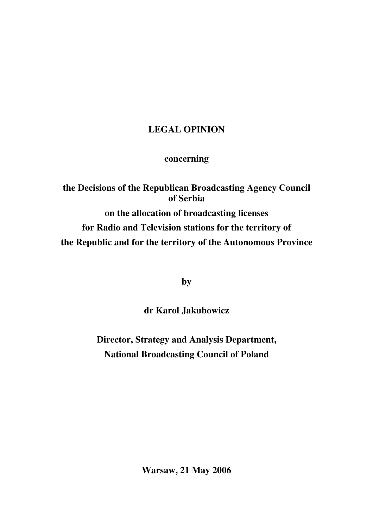# **LEGAL OPINION**

# **concerning**

**the Decisions of the Republican Broadcasting Agency Council of Serbia on the allocation of broadcasting licenses for Radio and Television stations for the territory of the Republic and for the territory of the Autonomous Province**

**by**

**dr Karol Jakubowicz**

**Director, Strategy and Analysis Department, National Broadcasting Council of Poland**

**Warsaw, 21 May 2006**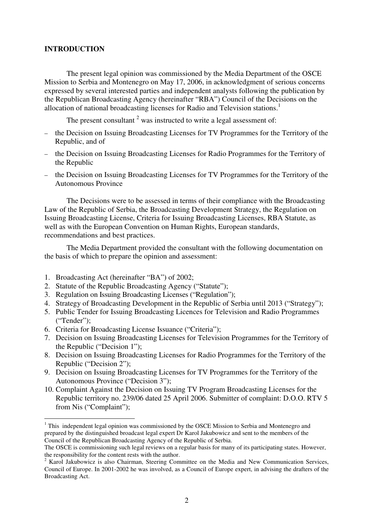#### **INTRODUCTION**

The present legal opinion was commissioned by the Media Department of the OSCE Mission to Serbia and Montenegro on May 17, 2006, in acknowledgment of serious concerns expressed by several interested parties and independent analysts following the publication by the Republican Broadcasting Agency (hereinafter "RBA") Council of the Decisions on the allocation of national broadcasting licenses for Radio and Television stations.<sup>1</sup>

The present consultant  $2$  was instructed to write a legal assessment of:

- the Decision on Issuing Broadcasting Licenses for TV Programmes for the Territory of the Republic, and of
- the Decision on Issuing Broadcasting Licenses for Radio Programmes for the Territory of the Republic
- the Decision on Issuing Broadcasting Licenses for TV Programmes for the Territory of the Autonomous Province

The Decisions were to be assessed in terms of their compliance with the Broadcasting Law of the Republic of Serbia, the Broadcasting Development Strategy, the Regulation on Issuing Broadcasting License, Criteria for Issuing Broadcasting Licenses, RBA Statute, as well as with the European Convention on Human Rights, European standards, recommendations and best practices.

The Media Department provided the consultant with the following documentation on the basis of which to prepare the opinion and assessment:

- 1. Broadcasting Act (hereinafter "BA") of 2002;
- 2. Statute of the Republic Broadcasting Agency ("Statute");
- 3. Regulation on Issuing Broadcasting Licenses ("Regulation");
- 4. Strategy of Broadcasting Development in the Republic of Serbia until 2013 ("Strategy");
- 5. Public Tender for Issuing Broadcasting Licences for Television and Radio Programmes ("Tender");
- 6. Criteria for Broadcasting License Issuance ("Criteria");
- 7. Decision on Issuing Broadcasting Licenses for Television Programmes for the Territory of the Republic ("Decision 1");
- 8. Decision on Issuing Broadcasting Licenses for Radio Programmes for the Territory of the Republic ("Decision 2");
- 9. Decision on Issuing Broadcasting Licenses for TV Programmes for the Territory of the Autonomous Province ("Decision 3");
- 10. Complaint Against the Decision on Issuing TV Program Broadcasting Licenses for the Republic territory no. 239/06 dated 25 April 2006. Submitter of complaint: D.O.O. RTV 5 from Nis ("Complaint");

<sup>&</sup>lt;sup>1</sup> This independent legal opinion was commissioned by the OSCE Mission to Serbia and Montenegro and prepared by the distinguished broadcast legal expert Dr Karol Jakubowicz and sent to the members of the Council of the Republican Broadcasting Agency of the Republic of Serbia.

The OSCE is commissioning such legal reviews on a regular basis for many of its participating states. However, the responsibility for the content rests with the author.

<sup>&</sup>lt;sup>2</sup> Karol Jakubowicz is also Chairman, Steering Committee on the Media and New Communication Services, Council of Europe. In 2001-2002 he was involved, as a Council of Europe expert, in advising the drafters of the Broadcasting Act.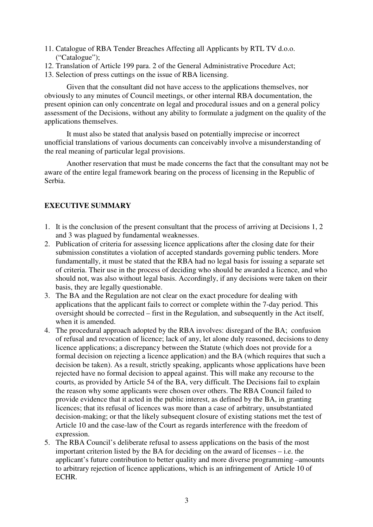- 11. Catalogue of RBA Tender Breaches Affecting all Applicants by RTL TV d.o.o. ("Catalogue");
- 12. Translation of Article 199 para. 2 of the General Administrative Procedure Act;
- 13. Selection of press cuttings on the issue of RBA licensing.

Given that the consultant did not have access to the applications themselves, nor obviously to any minutes of Council meetings, or other internal RBA documentation, the present opinion can only concentrate on legal and procedural issues and on a general policy assessment of the Decisions, without any ability to formulate a judgment on the quality of the applications themselves.

It must also be stated that analysis based on potentially imprecise or incorrect unofficial translations of various documents can conceivably involve a misunderstanding of the real meaning of particular legal provisions.

Another reservation that must be made concerns the fact that the consultant may not be aware of the entire legal framework bearing on the process of licensing in the Republic of Serbia.

## **EXECUTIVE SUMMARY**

- 1. It is the conclusion of the present consultant that the process of arriving at Decisions 1, 2 and 3 was plagued by fundamental weaknesses.
- 2. Publication of criteria for assessing licence applications after the closing date for their submission constitutes a violation of accepted standards governing public tenders. More fundamentally, it must be stated that the RBA had no legal basis for issuing a separate set of criteria. Their use in the process of deciding who should be awarded a licence, and who should not, was also without legal basis. Accordingly, if any decisions were taken on their basis, they are legally questionable.
- 3. The BA and the Regulation are not clear on the exact procedure for dealing with applications that the applicant fails to correct or complete within the 7-day period. This oversight should be corrected – first in the Regulation, and subsequently in the Act itself, when it is amended.
- 4. The procedural approach adopted by the RBA involves: disregard of the BA; confusion of refusal and revocation of licence; lack of any, let alone duly reasoned, decisions to deny licence applications; a discrepancy between the Statute (which does not provide for a formal decision on rejecting a licence application) and the BA (which requires that such a decision be taken). As a result, strictly speaking, applicants whose applications have been rejected have no formal decision to appeal against. This will make any recourse to the courts, as provided by Article 54 of the BA, very difficult. The Decisions fail to explain the reason why some applicants were chosen over others. The RBA Council failed to provide evidence that it acted in the public interest, as defined by the BA, in granting licences; that its refusal of licences was more than a case of arbitrary, unsubstantiated decision-making; or that the likely subsequent closure of existing stations met the test of Article 10 and the case-law of the Court as regards interference with the freedom of expression.
- 5. The RBA Council's deliberate refusal to assess applications on the basis of the most important criterion listed by the BA for deciding on the award of licenses – i.e. the applicant's future contribution to better quality and more diverse programming –amounts to arbitrary rejection of licence applications, which is an infringement of Article 10 of ECHR.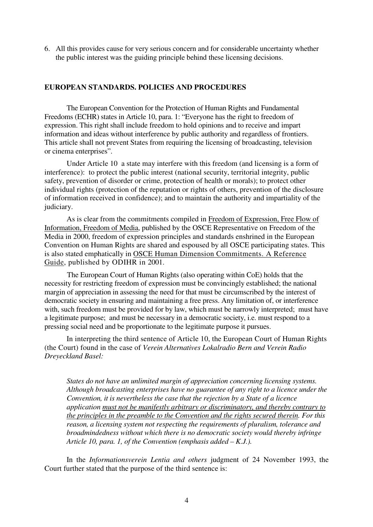6. All this provides cause for very serious concern and for considerable uncertainty whether the public interest was the guiding principle behind these licensing decisions.

## **EUROPEAN STANDARDS. POLICIES AND PROCEDURES**

The European Convention for the Protection of Human Rights and Fundamental Freedoms (ECHR) states in Article 10, para. 1: "Everyone has the right to freedom of expression. This right shall include freedom to hold opinions and to receive and impart information and ideas without interference by public authority and regardless of frontiers. This article shall not prevent States from requiring the licensing of broadcasting, television or cinema enterprises".

Under Article 10 a state may interfere with this freedom (and licensing is a form of interference): to protect the public interest (national security, territorial integrity, public safety, prevention of disorder or crime, protection of health or morals); to protect other individual rights (protection of the reputation or rights of others, prevention of the disclosure of information received in confidence); and to maintain the authority and impartiality of the judiciary.

As is clear from the commitments compiled in Freedom of Expression, Free Flow of Information, Freedom of Media, published by the OSCE Representative on Freedom of the Media in 2000, freedom of expression principles and standards enshrined in the European Convention on Human Rights are shared and espoused by all OSCE participating states. This is also stated emphatically in OSCE Human Dimension Commitments. A Reference Guide, published by ODIHR in 2001.

The European Court of Human Rights (also operating within CoE) holds that the necessity for restricting freedom of expression must be convincingly established; the national margin of appreciation in assessing the need for that must be circumscribed by the interest of democratic society in ensuring and maintaining a free press. Any limitation of, or interference with, such freedom must be provided for by law, which must be narrowly interpreted; must have a legitimate purpose; and must be necessary in a democratic society, i.e. must respond to a pressing social need and be proportionate to the legitimate purpose it pursues.

In interpreting the third sentence of Article 10, the European Court of Human Rights (the Court) found in the case of *Verein Alternatives Lokalradio Bern and Verein Radio Dreyeckland Basel:*

*States do not have an unlimited margin of appreciation concerning licensing systems. Although broadcasting enterprises have no guarantee of any right to a licence under the Convention, it is nevertheless the case that the rejection by a State of a licence application must not be manifestly arbitrary or discriminatory, and thereby contrary to the principles in the preamble to the Convention and the rights secured therein. For this reason, a licensing system not respecting the requirements of pluralism, tolerance and broadmindedness without which there is no democratic society would thereby infringe Article 10, para. 1, of the Convention (emphasis added – K.J.).*

In the *Informationsverein Lentia and others* judgment of 24 November 1993, the Court further stated that the purpose of the third sentence is: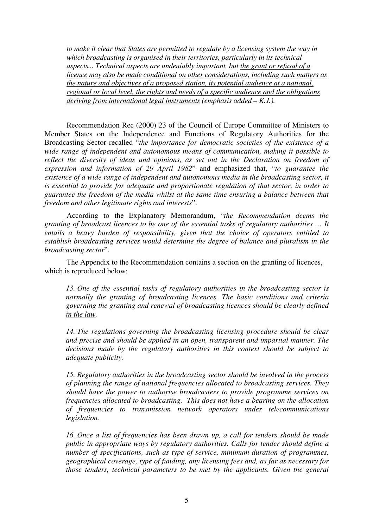*to make it clear that States are permitted to regulate by a licensing system the way in which broadcasting is organised in their territories, particularly in its technical aspects... Technical aspects are undeniably important, but the grant or refusal of a licence may also be made conditional on other considerations, including such matters as the nature and objectives of a proposed station, its potential audience at a national, regional or local level, the rights and needs of a specific audience and the obligations deriving from international legal instruments (emphasis added – K.J.).*

Recommendation Rec (2000) 23 of the Council of Europe Committee of Ministers to Member States on the Independence and Functions of Regulatory Authorities for the Broadcasting Sector recalled "*the importance for democratic societies of the existence of a wide range of independent and autonomous means of communication, making it possible to reflect the diversity of ideas and opinions, as set out in the Declaration on freedom of expression and information of 29 April 1982*" and emphasized that, "*to guarantee the existence of a wide range of independent and autonomous media in the broadcasting sector, it is essential to provide for adequate and proportionate regulation of that sector, in order to guarantee the freedom of the media whilst at the same time ensuring a balance between that freedom and other legitimate rights and interests*".

According to the Explanatory Memorandum, "*the Recommendation deems the granting of broadcast licences to be one of the essential tasks of regulatory authorities … It entails a heavy burden of responsibility, given that the choice of operators entitled to establish broadcasting services would determine the degree of balance and pluralism in the broadcasting sector*".

The Appendix to the Recommendation contains a section on the granting of licences, which is reproduced below:

*13. One of the essential tasks of regulatory authorities in the broadcasting sector is normally the granting of broadcasting licences. The basic conditions and criteria governing the granting and renewal of broadcasting licences should be clearly defined in the law.*

*14. The regulations governing the broadcasting licensing procedure should be clear and precise and should be applied in an open, transparent and impartial manner. The decisions made by the regulatory authorities in this context should be subject to adequate publicity.*

*15. Regulatory authorities in the broadcasting sector should be involved in the process of planning the range of national frequencies allocated to broadcasting services. They should have the power to authorise broadcasters to provide programme services on frequencies allocated to broadcasting. This does not have a bearing on the allocation of frequencies to transmission network operators under telecommunications legislation.*

*16. Once a list of frequencies has been drawn up, a call for tenders should be made public in appropriate ways by regulatory authorities. Calls for tender should define a number of specifications, such as type of service, minimum duration of programmes, geographical coverage, type of funding, any licensing fees and, as far as necessary for those tenders, technical parameters to be met by the applicants. Given the general*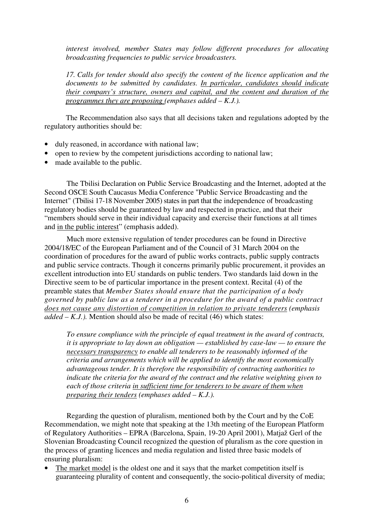*interest involved, member States may follow different procedures for allocating broadcasting frequencies to public service broadcasters.*

*17. Calls for tender should also specify the content of the licence application and the documents to be submitted by candidates. In particular, candidates should indicate their company's structure, owners and capital, and the content and duration of the programmes they are proposing (emphases added – K.J.).*

The Recommendation also says that all decisions taken and regulations adopted by the regulatory authorities should be:

- duly reasoned, in accordance with national law;
- open to review by the competent jurisdictions according to national law;
- made available to the public.

The Tbilisi Declaration on Public Service Broadcasting and the Internet, adopted at the Second OSCE South Caucasus Media Conference "Public Service Broadcasting and the Internet" (Tbilisi 17-18 November 2005) states in part that the independence of broadcasting regulatory bodies should be guaranteed by law and respected in practice, and that their "members should serve in their individual capacity and exercise their functions at all times and in the public interest" (emphasis added).

Much more extensive regulation of tender procedures can be found in Directive 2004/18/EC of the European Parliament and of the Council of 31 March 2004 on the coordination of procedures for the award of public works contracts, public supply contracts and public service contracts. Though it concerns primarily public procurement, it provides an excellent introduction into EU standards on public tenders. Two standards laid down in the Directive seem to be of particular importance in the present context. Recital (4) of the preamble states that *Member States should ensure that the participation of a body governed by public law as a tenderer in a procedure for the award of a public contract does not cause any distortion of competition in relation to private tenderers (emphasis added – K.J.).* Mention should also be made of recital (46) which states:

*To ensure compliance with the principle of equal treatment in the award of contracts, it is appropriate to lay down an obligation — established by case-law — to ensure the necessary transparency to enable all tenderers to be reasonably informed of the criteria and arrangements which will be applied to identify the most economically advantageous tender. It is therefore the responsibility of contracting authorities to indicate the criteria for the award of the contract and the relative weighting given to each of those criteria in sufficient time for tenderers to be aware of them when preparing their tenders (emphases added – K.J.).*

Regarding the question of pluralism, mentioned both by the Court and by the CoE Recommendation, we might note that speaking at the 13th meeting of the European Platform of Regulatory Authorities – EPRA (Barcelona, Spain, 19-20 April 2001), Matjaž Gerl of the Slovenian Broadcasting Council recognized the question of pluralism as the core question in the process of granting licences and media regulation and listed three basic models of ensuring pluralism:

The market model is the oldest one and it says that the market competition itself is guaranteeing plurality of content and consequently, the socio-political diversity of media;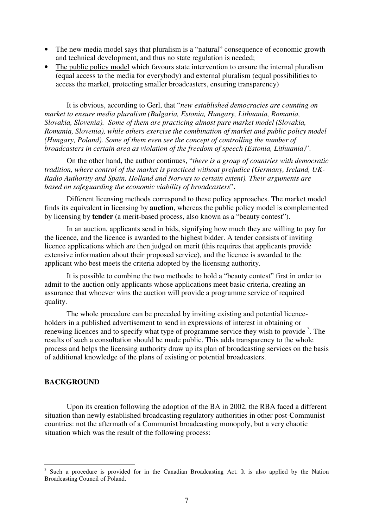- The new media model says that pluralism is a "natural" consequence of economic growth and technical development, and thus no state regulation is needed;
- The public policy model which favours state intervention to ensure the internal pluralism (equal access to the media for everybody) and external pluralism (equal possibilities to access the market, protecting smaller broadcasters, ensuring transparency)

It is obvious, according to Gerl, that "*new established democracies are counting on market to ensure media pluralism (Bulgaria, Estonia, Hungary, Lithuania, Romania, Slovakia, Slovenia). Some of them are practicing almost pure market model (Slovakia, Romania, Slovenia), while others exercise the combination of market and public policy model (Hungary, Poland). Some of them even see the concept of controlling the number of broadcasters in certain area as violation of the freedom of speech (Estonia, Lithuania)*".

On the other hand, the author continues, "*there is a group of countries with democratic tradition, where control of the market is practiced without prejudice (Germany, Ireland, UK-Radio Authority and Spain, Holland and Norway to certain extent). Their arguments are based on safeguarding the economic viability of broadcasters*".

Different licensing methods correspond to these policy approaches. The market model finds its equivalent in licensing by **auction**, whereas the public policy model is complemented by licensing by **tender** (a merit-based process, also known as a "beauty contest").

In an auction, applicants send in bids, signifying how much they are willing to pay for the licence, and the licence is awarded to the highest bidder. A tender consists of inviting licence applications which are then judged on merit (this requires that applicants provide extensive information about their proposed service), and the licence is awarded to the applicant who best meets the criteria adopted by the licensing authority.

It is possible to combine the two methods: to hold a "beauty contest" first in order to admit to the auction only applicants whose applications meet basic criteria, creating an assurance that whoever wins the auction will provide a programme service of required quality.

The whole procedure can be preceded by inviting existing and potential licenceholders in a published advertisement to send in expressions of interest in obtaining or renewing licences and to specify what type of programme service they wish to provide <sup>3</sup>. The results of such a consultation should be made public. This adds transparency to the whole process and helps the licensing authority draw up its plan of broadcasting services on the basis of additional knowledge of the plans of existing or potential broadcasters.

#### **BACKGROUND**

Upon its creation following the adoption of the BA in 2002, the RBA faced a different situation than newly established broadcasting regulatory authorities in other post-Communist countries: not the aftermath of a Communist broadcasting monopoly, but a very chaotic situation which was the result of the following process:

<sup>3</sup> Such a procedure is provided for in the Canadian Broadcasting Act. It is also applied by the Nation Broadcasting Council of Poland.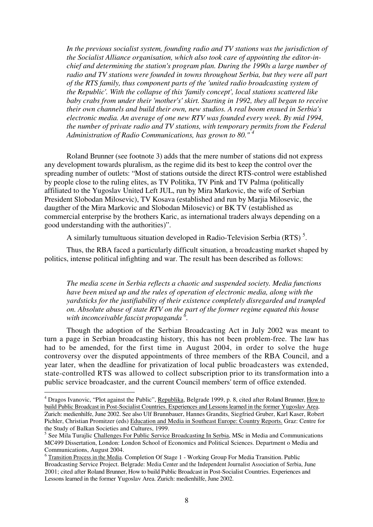*In the previous socialist system, founding radio and TV stations was the jurisdiction of the Socialist Alliance organisation, which also took care of appointing the editor-inchief and determining the station's program plan. During the 1990s a large number of radio and TV stations were founded in towns throughout Serbia, but they were all part of the RTS family, thus component parts of the 'united radio broadcasting system of the Republic'. With the collapse of this 'family concept', local stations scattered like baby crabs from under their 'mother's'skirt. Starting in 1992, they all began to receive their own channels and build their own, new studios. A real boom ensued in Serbia's electronic media. An average of one new RTV was founded every week. By mid 1994, the number of private radio and TV stations, with temporary permits from the Federal Administration of Radio Communications, has grown to 80." 4*

Roland Brunner (see footnote 3) adds that the mere number of stations did not express any development towards pluralism, as the regime did its best to keep the control over the spreading number of outlets: "Most of stations outside the direct RTS-control were established by people close to the ruling elites, as TV Politika, TV Pink and TV Palma (politically affiliated to the Yugoslav United Left JUL, run by Mira Markovic, the wife of Serbian President Slobodan Milosevic), TV Kosava (established and run by Marjia Milosevic, the daugther of the Mira Markovic and Slobodan Milosevic) or BK TV (established as commercial enterprise by the brothers Karic, as international traders always depending on a good understanding with the authorities)".

A similarly tumultuous situation developed in Radio-Television Serbia (RTS)<sup>5</sup>.

Thus, the RBA faced a particularly difficult situation, a broadcasting market shaped by politics, intense political infighting and war. The result has been described as follows:

*The media scene in Serbia reflects a chaotic and suspended society. Media functions have been mixed up and the rules of operation of electronic media, along with the yardsticks for the justifiability of their existence completely disregarded and trampled on. Absolute abuse of state RTV on the part of the former regime equated this house with inconceivable fascist propaganda 6 .*

Though the adoption of the Serbian Broadcasting Act in July 2002 was meant to turn a page in Serbian broadcasting history, this has not been problem-free. The law has had to be amended, for the first time in August 2004, in order to solve the huge controversy over the disputed appointments of three members of the RBA Council, and a year later, when the deadline for privatization of local public broadcasters was extended, state-controlled RTS was allowed to collect subscription prior to its transformation into a public service broadcaster, and the current Council members'term of office extended.

<sup>&</sup>lt;sup>4</sup> Dragos Ivanovic, "Plot against the Public", Republika, Belgrade 1999, p. 8, cited after Roland Brunner, How to build Public Broadcast in Post-Socialist Countries. Experiences and Lessons learned in the former Yugoslav Area. Zurich: medienhilfe, June 2002. See also Ulf Brunnbauer, Hannes Grandits, Siegfried Gruber, Karl Kaser, Robert Pichler, Christian Promitzer (eds) Education and Media in Southeast Europe: Country Reports. Graz: Centre for the Study of Balkan Societies and Cultures, 1999.

<sup>&</sup>lt;sup>5</sup> See Mila Turajlic Challenges For Public Service Broadcasting In Serbia, MSc in Media and Communications MC499 Dissertation, London: London School of Economics and Political Sciences. Department o Media and Communications, August 2004.

<sup>&</sup>lt;sup>6</sup> Transition Process in the Media. Completion Of Stage 1 - Working Group For Media Transition. Public Broadcasting Service Project. Belgrade: Media Center and the Independent Journalist Association of Serbia, June 2001; cited after Roland Brunner, How to build Public Broadcast in Post-Socialist Countries. Experiences and Lessons learned in the former Yugoslav Area. Zurich: medienhilfe, June 2002.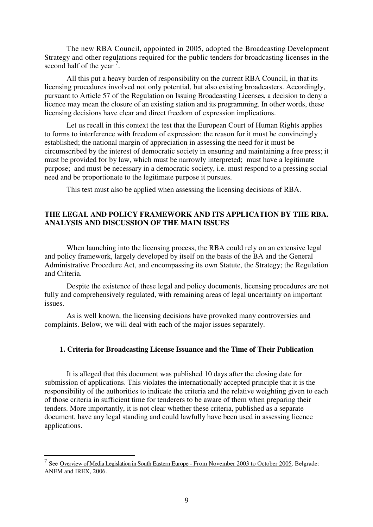The new RBA Council, appointed in 2005, adopted the Broadcasting Development Strategy and other regulations required for the public tenders for broadcasting licenses in the second half of the year  $^7$ .

All this put a heavy burden of responsibility on the current RBA Council, in that its licensing procedures involved not only potential, but also existing broadcasters. Accordingly, pursuant to Article 57 of the Regulation on Issuing Broadcasting Licenses, a decision to deny a licence may mean the closure of an existing station and its programming. In other words, these licensing decisions have clear and direct freedom of expression implications.

Let us recall in this context the test that the European Court of Human Rights applies to forms to interference with freedom of expression: the reason for it must be convincingly established; the national margin of appreciation in assessing the need for it must be circumscribed by the interest of democratic society in ensuring and maintaining a free press; it must be provided for by law, which must be narrowly interpreted; must have a legitimate purpose; and must be necessary in a democratic society, i.e. must respond to a pressing social need and be proportionate to the legitimate purpose it pursues.

This test must also be applied when assessing the licensing decisions of RBA.

#### **THE LEGAL AND POLICY FRAMEWORK AND ITS APPLICATION BY THE RBA. ANALYSIS AND DISCUSSION OF THE MAIN ISSUES**

When launching into the licensing process, the RBA could rely on an extensive legal and policy framework, largely developed by itself on the basis of the BA and the General Administrative Procedure Act, and encompassing its own Statute, the Strategy; the Regulation and Criteria.

Despite the existence of these legal and policy documents, licensing procedures are not fully and comprehensively regulated, with remaining areas of legal uncertainty on important issues.

As is well known, the licensing decisions have provoked many controversies and complaints. Below, we will deal with each of the major issues separately.

#### **1. Criteria for Broadcasting License Issuance and the Time of Their Publication**

It is alleged that this document was published 10 days after the closing date for submission of applications. This violates the internationally accepted principle that it is the responsibility of the authorities to indicate the criteria and the relative weighting given to each of those criteria in sufficient time for tenderers to be aware of them when preparing their tenders. More importantly, it is not clear whether these criteria, published as a separate document, have any legal standing and could lawfully have been used in assessing licence applications.

<sup>7</sup> See Overview of Media Legislation in South Eastern Europe - From November 2003 to October 2005. Belgrade: ANEM and IREX, 2006.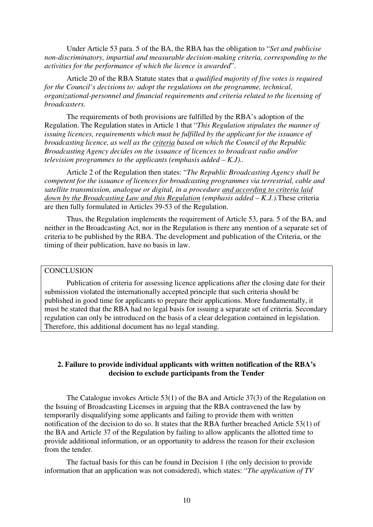Under Article 53 para. 5 of the BA, the RBA has the obligation to "*Set and publicise non-discriminatory, impartial and measurable decision-making criteria, corresponding to the activities for the performance of which the licence is awarded*".

Article 20 of the RBA Statute states that *a qualified majority of five votes is required for the Council's decisions to: adopt the regulations on the programme, technical, organizational-personnel and financial requirements and criteria related to the licensing of broadcasters.*

The requirements of both provisions are fulfilled by the RBA's adoption of the Regulation. The Regulation states in Article 1 that "*This Regulation stipulates the manner of issuing licences, requirements which must be fulfilled by the applicant for the issuance of broadcasting licence, as well as the criteria based on which the Council of the Republic Broadcasting Agency decides on the issuance of licences to broadcast radio and/or television programmes to the applicants (emphasis added – K.J)..*

Article 2 of the Regulation then states: "*The Republic Broadcasting Agency shall be competent for the issuance of licences for broadcasting programmes via terrestrial, cable and satellite transmission, analogue or digital, in a procedure and according to criteria laid down by the Broadcasting Law and this Regulation (emphasis added – K.J.).*These criteria are then fully formulated in Articles 39-53 of the Regulation.

Thus, the Regulation implements the requirement of Article 53, para. 5 of the BA, and neither in the Broadcasting Act, nor in the Regulation is there any mention of a separate set of criteria to be published by the RBA. The development and publication of the Criteria, or the timing of their publication, have no basis in law.

# **CONCLUSION**

Publication of criteria for assessing licence applications after the closing date for their submission violated the internationally accepted principle that such criteria should be published in good time for applicants to prepare their applications. More fundamentally, it must be stated that the RBA had no legal basis for issuing a separate set of criteria. Secondary regulation can only be introduced on the basis of a clear delegation contained in legislation. Therefore, this additional document has no legal standing.

## **2. Failure to provide individual applicants with written notification of the RBA's decision to exclude participants from the Tender**

The Catalogue invokes Article 53(1) of the BA and Article 37(3) of the Regulation on the Issuing of Broadcasting Licenses in arguing that the RBA contravened the law by temporarily disqualifying some applicants and failing to provide them with written notification of the decision to do so. It states that the RBA further breached Article 53(1) of the BA and Article 37 of the Regulation by failing to allow applicants the allotted time to provide additional information, or an opportunity to address the reason for their exclusion from the tender.

The factual basis for this can be found in Decision 1 (the only decision to provide information that an application was not considered), which states: "*The application of TV*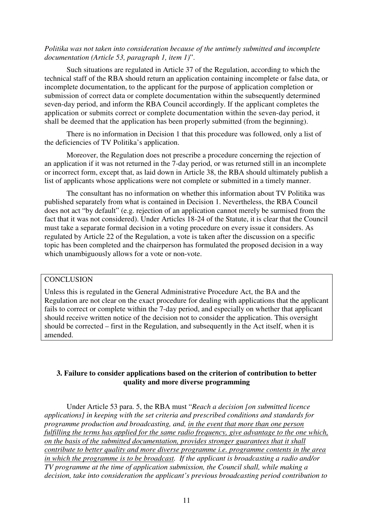#### *Politika was not taken into consideration because of the untimely submitted and incomplete documentation (Article 53, paragraph 1, item 1)*".

Such situations are regulated in Article 37 of the Regulation, according to which the technical staff of the RBA should return an application containing incomplete or false data, or incomplete documentation, to the applicant for the purpose of application completion or submission of correct data or complete documentation within the subsequently determined seven-day period, and inform the RBA Council accordingly. If the applicant completes the application or submits correct or complete documentation within the seven-day period, it shall be deemed that the application has been properly submitted (from the beginning).

There is no information in Decision 1 that this procedure was followed, only a list of the deficiencies of TV Politika's application.

Moreover, the Regulation does not prescribe a procedure concerning the rejection of an application if it was not returned in the 7-day period, or was returned still in an incomplete or incorrect form, except that, as laid down in Article 38, the RBA should ultimately publish a list of applicants whose applications were not complete or submitted in a timely manner.

The consultant has no information on whether this information about TV Politika was published separately from what is contained in Decision 1. Nevertheless, the RBA Council does not act "by default" (e.g. rejection of an application cannot merely be surmised from the fact that it was not considered). Under Articles 18-24 of the Statute, it is clear that the Council must take a separate formal decision in a voting procedure on every issue it considers. As regulated by Article 22 of the Regulation, a vote is taken after the discussion on a specific topic has been completed and the chairperson has formulated the proposed decision in a way which unambiguously allows for a vote or non-vote.

#### **CONCLUSION**

Unless this is regulated in the General Administrative Procedure Act, the BA and the Regulation are not clear on the exact procedure for dealing with applications that the applicant fails to correct or complete within the 7-day period, and especially on whether that applicant should receive written notice of the decision not to consider the application. This oversight should be corrected – first in the Regulation, and subsequently in the Act itself, when it is amended.

#### **3. Failure to consider applications based on the criterion of contribution to better quality and more diverse programming**

Under Article 53 para. 5, the RBA must "*Reach a decision [on submitted licence applications] in keeping with the set criteria and prescribed conditions and standards for programme production and broadcasting, and, in the event that more than one person fulfilling the terms has applied for the same radio frequency, give advantage to the one which, on the basis of the submitted documentation, provides stronger guarantees that it shall contribute to better quality and more diverse programme i.e. programme contents in the area in which the programme is to be broadcast. If the applicant is broadcasting a radio and/or TV programme at the time of application submission, the Council shall, while making a decision, take into consideration the applicant's previous broadcasting period contribution to*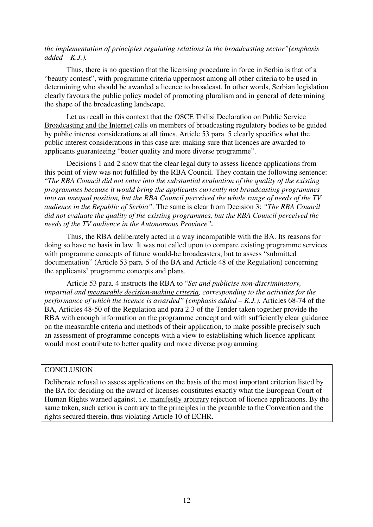## *the implementation of principles regulating relations in the broadcasting sector"(emphasis added – K.J.).*

Thus, there is no question that the licensing procedure in force in Serbia is that of a "beauty contest", with programme criteria uppermost among all other criteria to be used in determining who should be awarded a licence to broadcast. In other words, Serbian legislation clearly favours the public policy model of promoting pluralism and in general of determining the shape of the broadcasting landscape.

Let us recall in this context that the OSCE Tbilisi Declaration on Public Service Broadcasting and the Internet calls on members of broadcasting regulatory bodies to be guided by public interest considerations at all times. Article 53 para. 5 clearly specifies what the public interest considerations in this case are: making sure that licences are awarded to applicants guaranteeing "better quality and more diverse programme".

Decisions 1 and 2 show that the clear legal duty to assess licence applications from this point of view was not fulfilled by the RBA Council. They contain the following sentence: "*The RBA Council did not enter into the substantial evaluation of the quality of the existing programmes because it would bring the applicants currently not broadcasting programmes into an unequal position, but the RBA Council perceived the whole range of needs of the TV audience in the Republic of Serbia".* The same is clear from Decision 3: *"The RBA Council did not evaluate the quality of the existing programmes, but the RBA Council perceived the needs of the TV audience in the Autonomous Province".*

Thus, the RBA deliberately acted in a way incompatible with the BA. Its reasons for doing so have no basis in law. It was not called upon to compare existing programme services with programme concepts of future would-be broadcasters, but to assess "submitted documentation" (Article 53 para. 5 of the BA and Article 48 of the Regulation) concerning the applicants' programme concepts and plans.

Article 53 para. 4 instructs the RBA to "*Set and publicise non-discriminatory, impartial and measurable decision-making criteria, corresponding to the activities for the performance of which the licence is awarded" (emphasis added – K.J.).* Articles 68-74 of the BA, Articles 48-50 of the Regulation and para 2.3 of the Tender taken together provide the RBA with enough information on the programme concept and with sufficiently clear guidance on the measurable criteria and methods of their application, to make possible precisely such an assessment of programme concepts with a view to establishing which licence applicant would most contribute to better quality and more diverse programming.

#### **CONCLUSION**

Deliberate refusal to assess applications on the basis of the most important criterion listed by the BA for deciding on the award of licenses constitutes exactly what the European Court of Human Rights warned against, i.e. manifestly arbitrary rejection of licence applications. By the same token, such action is contrary to the principles in the preamble to the Convention and the rights secured therein, thus violating Article 10 of ECHR.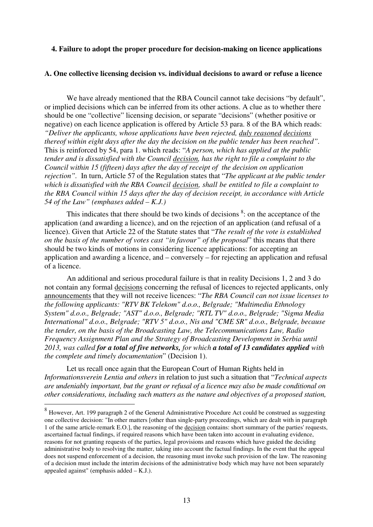#### **4. Failure to adopt the proper procedure for decision-making on licence applications**

#### **A. One collective licensing decision vs. individual decisions to award or refuse a licence**

We have already mentioned that the RBA Council cannot take decisions "by default", or implied decisions which can be inferred from its other actions. A clue as to whether there should be one "collective" licensing decision, or separate "decisions" (whether positive or negative) on each licence application is offered by Article 53 para. 8 of the BA which reads: *"Deliver the applicants, whose applications have been rejected, duly reasoned decisions thereof within eight days after the day the decision on the public tender has been reached".* This is reinforced by 54, para 1. which reads: "*A person, which has applied at the public tender and is dissatisfied with the Council decision, has the right to file a complaint to the Council within 15 (fifteen) days after the day of receipt of the decision on application rejection".* In turn, Article 57 of the Regulation states that "*The applicant at the public tender which is dissatisfied with the RBA Council decision, shall be entitled to file a complaint to the RBA Council within 15 days after the day of decision receipt, in accordance with Article 54 of the Law" (emphases added – K.J.)*

This indicates that there should be two kinds of decisions <sup>8</sup>: on the acceptance of the application (and awarding a licence), and on the rejection of an application (and refusal of a licence). Given that Article 22 of the Statute states that "*The result of the vote is established on the basis of the number of votes cast "in favour" of the proposal*" this means that there should be two kinds of motions in considering licence applications: for accepting an application and awarding a licence, and – conversely – for rejecting an application and refusal of a licence.

An additional and serious procedural failure is that in reality Decisions 1, 2 and 3 do not contain any formal decisions concerning the refusal of licences to rejected applicants, only announcements that they will not receive licences: "*The RBA Council can not issue licenses to the following applicants: "RTV BK Telekom" d.o.o., Belgrade; "Multimedia Ethnology System" d.o.o., Belgrade; "AST" d.o.o., Belgrade; "RTL TV" d.o.o., Belgrade; "Sigma Media International" d.o.o., Belgrade; "RTV 5" d.o.o., Nis and "CME SR" d.o.o., Belgrade, because the tender, on the basis of the Broadcasting Law, the Telecommunications Law, Radio Frequency Assignment Plan and the Strategy of Broadcasting Development in Serbia until 2013, was called for a total of five networks, for which a total of 13 candidates applied with the complete and timely documentation*" (Decision 1).

Let us recall once again that the European Court of Human Rights held in *Informationsverein Lentia and others* in relation to just such a situation that "*Technical aspects are undeniably important, but the grant or refusal of a licence may also be made conditional on other considerations, including such matters as the nature and objectives of a proposed station,*

 $8$  However, Art. 199 paragraph 2 of the General Administrative Procedure Act could be construed as suggesting one collective decision: "In other matters [other than single-party proceedings, which are dealt with in paragraph 1 of the same article-remark E.O.], the reasoning of the decision contains: short summary of the parties'requests, ascertained factual findings, if required reasons which have been taken into account in evaluating evidence, reasons for not granting requests of the parties, legal provisions and reasons which have guided the deciding administrative body to resolving the matter, taking into account the factual findings. In the event that the appeal does not suspend enforcement of a decision, the reasoning must invoke such provision of the law. The reasoning of a decision must include the interim decisions of the administrative body which may have not been separately appealed against" (emphasis added – K.J.).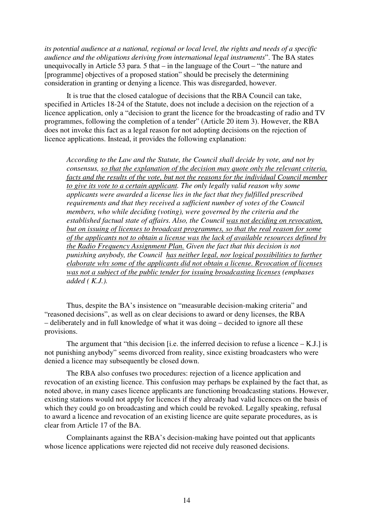*its potential audience at a national, regional or local level, the rights and needs of a specific audience and the obligations deriving from international legal instruments*". The BA states unequivocally in Article 53 para. 5 that – in the language of the Court – "the nature and [programme] objectives of a proposed station" should be precisely the determining consideration in granting or denying a licence. This was disregarded, however.

It is true that the closed catalogue of decisions that the RBA Council can take, specified in Articles 18-24 of the Statute, does not include a decision on the rejection of a licence application, only a "decision to grant the licence for the broadcasting of radio and TV programmes, following the completion of a tender" (Article 20 item 3). However, the RBA does not invoke this fact as a legal reason for not adopting decisions on the rejection of licence applications. Instead, it provides the following explanation:

*According to the Law and the Statute, the Council shall decide by vote, and not by consensus, so that the explanation of the decision may quote only the relevant criteria, facts and the results of the vote, but not the reasons for the individual Council member to give its vote to a certain applicant. The only legally valid reason why some applicants were awarded a license lies in the fact that they fulfilled prescribed requirements and that they received a sufficient number of votes of the Council members, who while deciding (voting), were governed by the criteria and the established factual state of affairs. Also, the Council was not deciding on revocation, but on issuing of licenses to broadcast programmes, so that the real reason for some of the applicants not to obtain a license was the lack of available resources defined by the Radio Frequency Assignment Plan. Given the fact that this decision is not punishing anybody, the Council has neither legal, nor logical possibilities to further elaborate why some of the applicants did not obtain a license. Revocation of licenses was not a subject of the public tender for issuing broadcasting licenses (emphases added ( K.J.).*

Thus, despite the BA's insistence on "measurable decision-making criteria" and "reasoned decisions", as well as on clear decisions to award or deny licenses, the RBA – deliberately and in full knowledge of what it was doing – decided to ignore all these provisions.

The argument that "this decision [i.e. the inferred decision to refuse a licence  $-$  K.J.] is not punishing anybody" seems divorced from reality, since existing broadcasters who were denied a licence may subsequently be closed down.

The RBA also confuses two procedures: rejection of a licence application and revocation of an existing licence. This confusion may perhaps be explained by the fact that, as noted above, in many cases licence applicants are functioning broadcasting stations. However, existing stations would not apply for licences if they already had valid licences on the basis of which they could go on broadcasting and which could be revoked. Legally speaking, refusal to award a licence and revocation of an existing licence are quite separate procedures, as is clear from Article 17 of the BA.

Complainants against the RBA's decision-making have pointed out that applicants whose licence applications were rejected did not receive duly reasoned decisions.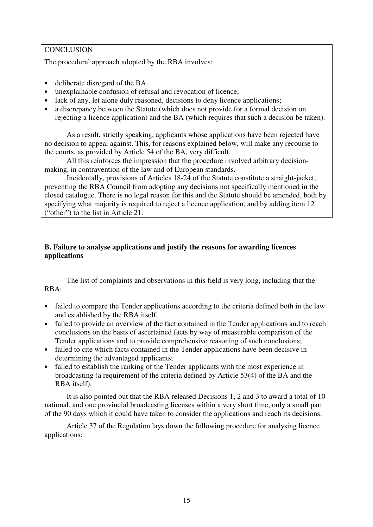## **CONCLUSION**

The procedural approach adopted by the RBA involves:

- deliberate disregard of the BA
- unexplainable confusion of refusal and revocation of licence;
- lack of any, let alone duly reasoned, decisions to deny licence applications;
- a discrepancy between the Statute (which does not provide for a formal decision on rejecting a licence application) and the BA (which requires that such a decision be taken).

As a result, strictly speaking, applicants whose applications have been rejected have no decision to appeal against. This, for reasons explained below, will make any recourse to the courts, as provided by Article 54 of the BA, very difficult.

All this reinforces the impression that the procedure involved arbitrary decisionmaking, in contravention of the law and of European standards.

Incidentally, provisions of Articles 18-24 of the Statute constitute a straight-jacket, preventing the RBA Council from adopting any decisions not specifically mentioned in the closed catalogue. There is no legal reason for this and the Statute should be amended, both by specifying what majority is required to reject a licence application, and by adding item 12 ("other") to the list in Article 21.

# **B. Failure to analyse applications and justify the reasons for awarding licences applications**

The list of complaints and observations in this field is very long, including that the RBA:

- failed to compare the Tender applications according to the criteria defined both in the law and established by the RBA itself,
- failed to provide an overview of the fact contained in the Tender applications and to reach conclusions on the basis of ascertained facts by way of measurable comparison of the Tender applications and to provide comprehensive reasoning of such conclusions;
- failed to cite which facts contained in the Tender applications have been decisive in determining the advantaged applicants;
- failed to establish the ranking of the Tender applicants with the most experience in broadcasting (a requirement of the criteria defined by Article 53(4) of the BA and the RBA itself).

It is also pointed out that the RBA released Decisions 1, 2 and 3 to award a total of 10 national, and one provincial broadcasting licenses within a very short time, only a small part of the 90 days which it could have taken to consider the applications and reach its decisions.

Article 37 of the Regulation lays down the following procedure for analysing licence applications: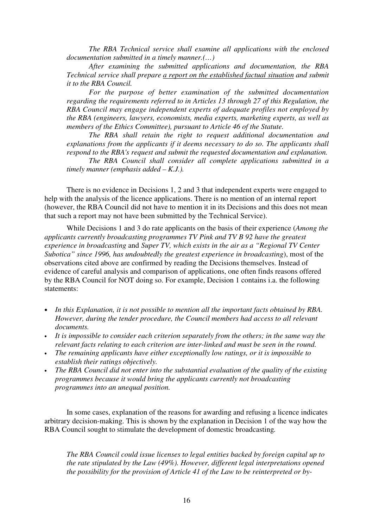*The RBA Technical service shall examine all applications with the enclosed documentation submitted in a timely manner.(…)*

*After examining the submitted applications and documentation, the RBA Technical service shall prepare a report on the established factual situation and submit it to the RBA Council.*

*For the purpose of better examination of the submitted documentation regarding the requirements referred to in Articles 13 through 27 of this Regulation, the RBA Council may engage independent experts of adequate profiles not employed by the RBA (engineers, lawyers, economists, media experts, marketing experts, as well as members of the Ethics Committee), pursuant to Article 46 of the Statute.*

*The RBA shall retain the right to request additional documentation and explanations from the applicants if it deems necessary to do so. The applicants shall respond to the RBA's request and submit the requested documentation and explanation.*

*The RBA Council shall consider all complete applications submitted in a timely manner (emphasis added – K.J.).*

There is no evidence in Decisions 1, 2 and 3 that independent experts were engaged to help with the analysis of the licence applications. There is no mention of an internal report (however, the RBA Council did not have to mention it in its Decisions and this does not mean that such a report may not have been submitted by the Technical Service).

While Decisions 1 and 3 do rate applicants on the basis of their experience (*Among the applicants currently broadcasting programmes TV Pink and TV B 92 have the greatest experience in broadcasting* and *Super TV, which exists in the air as a "Regional TV Center Subotica" since 1996, has undoubtedly the greatest experience in broadcasting*), most of the observations cited above are confirmed by reading the Decisions themselves. Instead of evidence of careful analysis and comparison of applications, one often finds reasons offered by the RBA Council for NOT doing so. For example, Decision 1 contains i.a. the following statements:

- *In this Explanation, it is not possible to mention all the important facts obtained by RBA. However, during the tender procedure, the Council members had access to all relevant documents.*
- *It is impossible to consider each criterion separately from the others; in the same way the relevant facts relating to each criterion are inter-linked and must be seen in the round.*
- *The remaining applicants have either exceptionally low ratings, or it is impossible to establish their ratings objectively.*
- *The RBA Council did not enter into the substantial evaluation of the quality of the existing programmes because it would bring the applicants currently not broadcasting programmes into an unequal position.*

In some cases, explanation of the reasons for awarding and refusing a licence indicates arbitrary decision-making. This is shown by the explanation in Decision 1 of the way how the RBA Council sought to stimulate the development of domestic broadcasting*.*

*The RBA Council could issue licenses to legal entities backed by foreign capital up to the rate stipulated by the Law (49%). However, different legal interpretations opened the possibility for the provision of Article 41 of the Law to be reinterpreted or by-*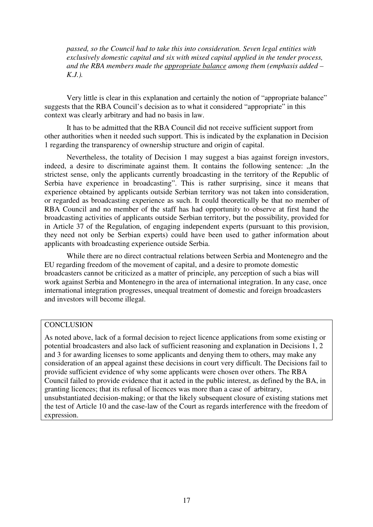*passed, so the Council had to take this into consideration. Seven legal entities with exclusively domestic capital and six with mixed capital applied in the tender process, and the RBA members made the appropriate balance among them (emphasis added – K.J.).*

Very little is clear in this explanation and certainly the notion of "appropriate balance" suggests that the RBA Council's decision as to what it considered "appropriate" in this context was clearly arbitrary and had no basis in law.

It has to be admitted that the RBA Council did not receive sufficient support from other authorities when it needed such support. This is indicated by the explanation in Decision 1 regarding the transparency of ownership structure and origin of capital.

Nevertheless, the totality of Decision 1 may suggest a bias against foreign investors, indeed, a desire to discriminate against them. It contains the following sentence: "In the strictest sense, only the applicants currently broadcasting in the territory of the Republic of Serbia have experience in broadcasting". This is rather surprising, since it means that experience obtained by applicants outside Serbian territory was not taken into consideration, or regarded as broadcasting experience as such. It could theoretically be that no member of RBA Council and no member of the staff has had opportunity to observe at first hand the broadcasting activities of applicants outside Serbian territory, but the possibility, provided for in Article 37 of the Regulation, of engaging independent experts (pursuant to this provision, they need not only be Serbian experts) could have been used to gather information about applicants with broadcasting experience outside Serbia.

While there are no direct contractual relations between Serbia and Montenegro and the EU regarding freedom of the movement of capital, and a desire to promote domestic broadcasters cannot be criticized as a matter of principle, any perception of such a bias will work against Serbia and Montenegro in the area of international integration. In any case, once international integration progresses, unequal treatment of domestic and foreign broadcasters and investors will become illegal.

#### **CONCLUSION**

As noted above, lack of a formal decision to reject licence applications from some existing or potential broadcasters and also lack of sufficient reasoning and explanation in Decisions 1, 2 and 3 for awarding licenses to some applicants and denying them to others, may make any consideration of an appeal against these decisions in court very difficult. The Decisions fail to provide sufficient evidence of why some applicants were chosen over others. The RBA Council failed to provide evidence that it acted in the public interest, as defined by the BA, in granting licences; that its refusal of licences was more than a case of arbitrary, unsubstantiated decision-making; or that the likely subsequent closure of existing stations met the test of Article 10 and the case-law of the Court as regards interference with the freedom of expression.